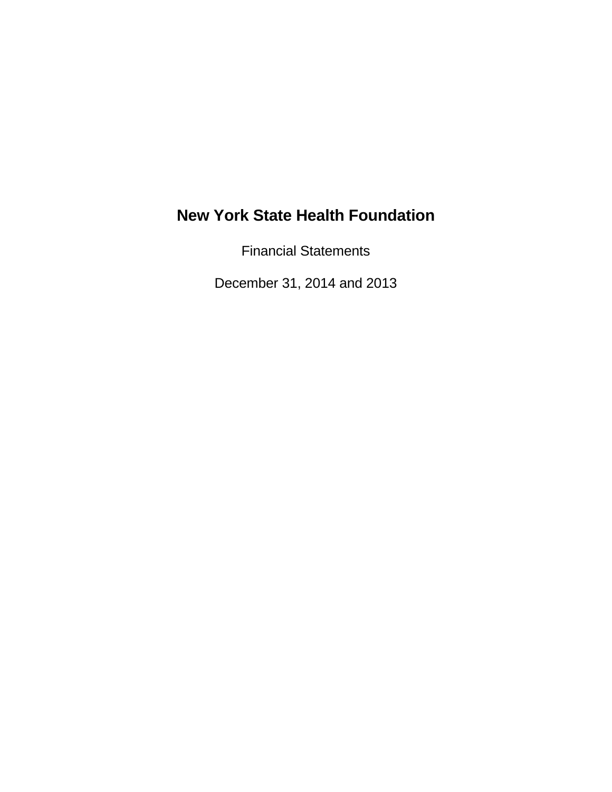Financial Statements

December 31, 2014 and 2013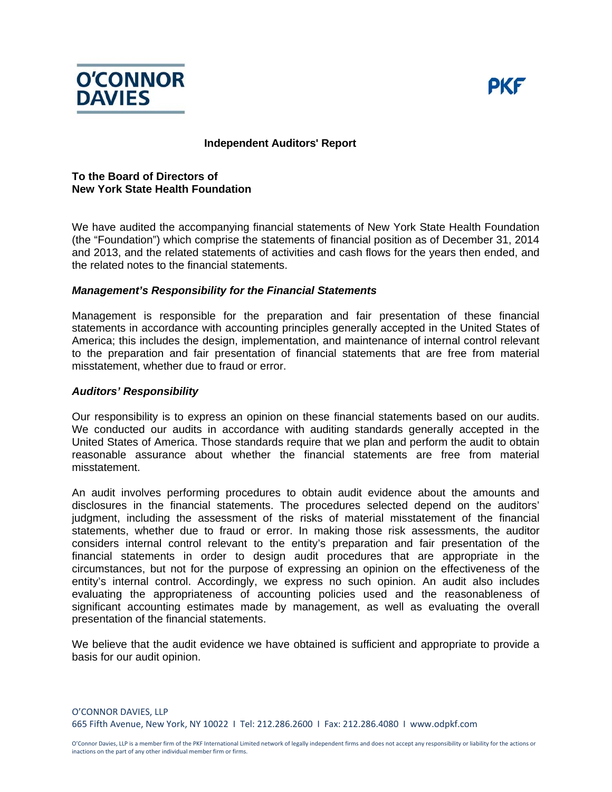



#### **Independent Auditors' Report**

#### **To the Board of Directors of New York State Health Foundation**

We have audited the accompanying financial statements of New York State Health Foundation (the "Foundation") which comprise the statements of financial position as of December 31, 2014 and 2013, and the related statements of activities and cash flows for the years then ended, and the related notes to the financial statements.

#### *Management's Responsibility for the Financial Statements*

Management is responsible for the preparation and fair presentation of these financial statements in accordance with accounting principles generally accepted in the United States of America; this includes the design, implementation, and maintenance of internal control relevant to the preparation and fair presentation of financial statements that are free from material misstatement, whether due to fraud or error.

#### *Auditors' Responsibility*

Our responsibility is to express an opinion on these financial statements based on our audits. We conducted our audits in accordance with auditing standards generally accepted in the United States of America. Those standards require that we plan and perform the audit to obtain reasonable assurance about whether the financial statements are free from material misstatement.

An audit involves performing procedures to obtain audit evidence about the amounts and disclosures in the financial statements. The procedures selected depend on the auditors' judgment, including the assessment of the risks of material misstatement of the financial statements, whether due to fraud or error. In making those risk assessments, the auditor considers internal control relevant to the entity's preparation and fair presentation of the financial statements in order to design audit procedures that are appropriate in the circumstances, but not for the purpose of expressing an opinion on the effectiveness of the entity's internal control. Accordingly, we express no such opinion. An audit also includes evaluating the appropriateness of accounting policies used and the reasonableness of significant accounting estimates made by management, as well as evaluating the overall presentation of the financial statements.

We believe that the audit evidence we have obtained is sufficient and appropriate to provide a basis for our audit opinion.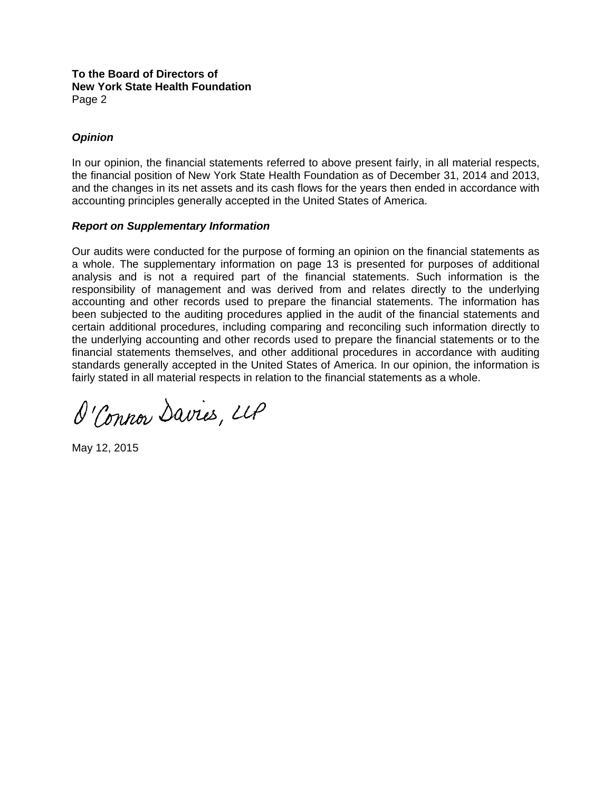#### **To the Board of Directors of New York State Health Foundation**  Page 2

# *Opinion*

In our opinion, the financial statements referred to above present fairly, in all material respects, the financial position of New York State Health Foundation as of December 31, 2014 and 2013, and the changes in its net assets and its cash flows for the years then ended in accordance with accounting principles generally accepted in the United States of America.

# *Report on Supplementary Information*

Our audits were conducted for the purpose of forming an opinion on the financial statements as a whole. The supplementary information on page 13 is presented for purposes of additional analysis and is not a required part of the financial statements. Such information is the responsibility of management and was derived from and relates directly to the underlying accounting and other records used to prepare the financial statements. The information has been subjected to the auditing procedures applied in the audit of the financial statements and certain additional procedures, including comparing and reconciling such information directly to the underlying accounting and other records used to prepare the financial statements or to the financial statements themselves, and other additional procedures in accordance with auditing standards generally accepted in the United States of America. In our opinion, the information is fairly stated in all material respects in relation to the financial statements as a whole.

O'Connor Davies, UP

May 12, 2015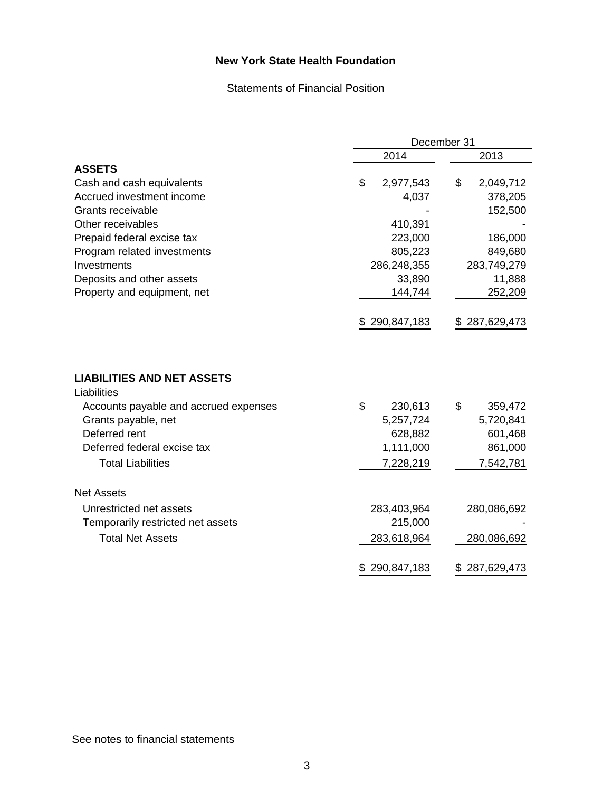Statements of Financial Position

|                                                              |                    | December 31       |  |  |  |
|--------------------------------------------------------------|--------------------|-------------------|--|--|--|
|                                                              | 2014               | 2013              |  |  |  |
| <b>ASSETS</b>                                                |                    |                   |  |  |  |
| Cash and cash equivalents                                    | \$<br>2,977,543    | \$<br>2,049,712   |  |  |  |
| Accrued investment income                                    | 4,037              | 378,205           |  |  |  |
| Grants receivable                                            |                    | 152,500           |  |  |  |
| Other receivables                                            | 410,391            |                   |  |  |  |
| Prepaid federal excise tax                                   | 223,000            | 186,000           |  |  |  |
| Program related investments                                  | 805,223            | 849,680           |  |  |  |
| Investments                                                  | 286,248,355        | 283,749,279       |  |  |  |
| Deposits and other assets                                    | 33,890             | 11,888            |  |  |  |
| Property and equipment, net                                  | 144,744            | 252,209           |  |  |  |
|                                                              | 290,847,183<br>\$. | \$287,629,473     |  |  |  |
| <b>LIABILITIES AND NET ASSETS</b><br>Liabilities             |                    |                   |  |  |  |
|                                                              | \$<br>230,613      | \$<br>359,472     |  |  |  |
| Accounts payable and accrued expenses<br>Grants payable, net | 5,257,724          | 5,720,841         |  |  |  |
| Deferred rent                                                | 628,882            | 601,468           |  |  |  |
| Deferred federal excise tax                                  | 1,111,000          | 861,000           |  |  |  |
| <b>Total Liabilities</b>                                     |                    |                   |  |  |  |
|                                                              | 7,228,219          | 7,542,781         |  |  |  |
| <b>Net Assets</b>                                            |                    |                   |  |  |  |
| Unrestricted net assets                                      | 283,403,964        | 280,086,692       |  |  |  |
| Temporarily restricted net assets                            | 215,000            |                   |  |  |  |
| <b>Total Net Assets</b>                                      | 283,618,964        | 280,086,692       |  |  |  |
|                                                              | 290,847,183<br>\$  | 287,629,473<br>\$ |  |  |  |

See notes to financial statements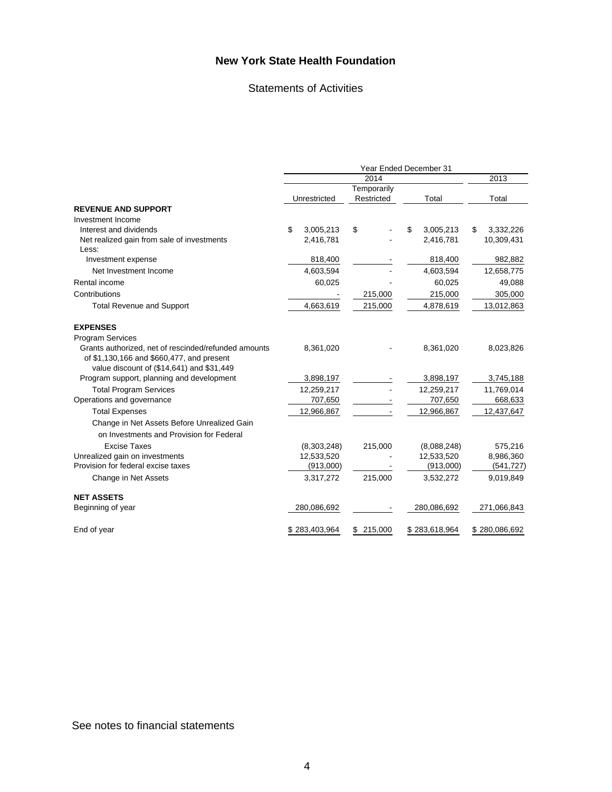#### Statements of Activities

|                                                                                                   | Year Ended December 31 |               |    |             |                 |    |               |
|---------------------------------------------------------------------------------------------------|------------------------|---------------|----|-------------|-----------------|----|---------------|
|                                                                                                   | 2014                   |               |    |             | 2013            |    |               |
|                                                                                                   |                        |               |    | Temporarily |                 |    |               |
|                                                                                                   |                        | Unrestricted  |    | Restricted  | Total           |    | Total         |
| <b>REVENUE AND SUPPORT</b>                                                                        |                        |               |    |             |                 |    |               |
| Investment Income                                                                                 |                        |               |    |             |                 |    |               |
| Interest and dividends                                                                            | \$                     | 3,005,213     | \$ |             | \$<br>3,005,213 | \$ | 3,332,226     |
| Net realized gain from sale of investments                                                        |                        | 2,416,781     |    |             | 2,416,781       |    | 10,309,431    |
| Less:                                                                                             |                        |               |    |             |                 |    |               |
| Investment expense                                                                                |                        | 818,400       |    |             | 818,400         |    | 982,882       |
| Net Investment Income                                                                             |                        | 4,603,594     |    |             | 4,603,594       |    | 12,658,775    |
| Rental income                                                                                     |                        | 60,025        |    |             | 60,025          |    | 49,088        |
| Contributions                                                                                     |                        |               |    | 215,000     | 215,000         |    | 305,000       |
| <b>Total Revenue and Support</b>                                                                  |                        | 4,663,619     |    | 215,000     | 4,878,619       |    | 13,012,863    |
| <b>EXPENSES</b>                                                                                   |                        |               |    |             |                 |    |               |
| <b>Program Services</b>                                                                           |                        |               |    |             |                 |    |               |
| Grants authorized, net of rescinded/refunded amounts<br>of \$1,130,166 and \$660,477, and present |                        | 8,361,020     |    |             | 8,361,020       |    | 8,023,826     |
| value discount of (\$14,641) and \$31,449                                                         |                        |               |    |             |                 |    |               |
| Program support, planning and development                                                         |                        | 3,898,197     |    |             | 3,898,197       |    | 3,745,188     |
| <b>Total Program Services</b>                                                                     |                        | 12,259,217    |    |             | 12,259,217      |    | 11,769,014    |
| Operations and governance                                                                         |                        | 707,650       |    |             | 707,650         |    | 668,633       |
| <b>Total Expenses</b>                                                                             |                        | 12,966,867    |    |             | 12,966,867      |    | 12,437,647    |
| Change in Net Assets Before Unrealized Gain                                                       |                        |               |    |             |                 |    |               |
| on Investments and Provision for Federal                                                          |                        |               |    |             |                 |    |               |
| <b>Excise Taxes</b>                                                                               |                        | (8,303,248)   |    | 215,000     | (8,088,248)     |    | 575,216       |
| Unrealized gain on investments                                                                    |                        | 12,533,520    |    |             | 12,533,520      |    | 8,986,360     |
| Provision for federal excise taxes                                                                |                        | (913,000)     |    |             | (913,000)       |    | (541, 727)    |
| Change in Net Assets                                                                              |                        | 3,317,272     |    | 215,000     | 3,532,272       |    | 9,019,849     |
| <b>NET ASSETS</b>                                                                                 |                        |               |    |             |                 |    |               |
| Beginning of year                                                                                 |                        | 280,086,692   |    |             | 280,086,692     |    | 271,066,843   |
| End of year                                                                                       |                        | \$283,403,964 |    | \$215,000   | \$283,618,964   |    | \$280,086,692 |

See notes to financial statements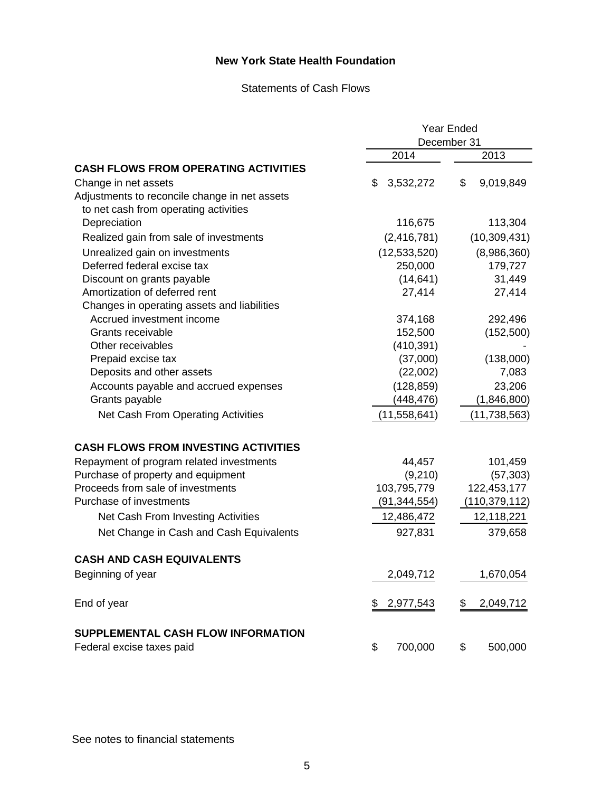#### Statements of Cash Flows

|                                               | <b>Year Ended</b> |                 |  |  |
|-----------------------------------------------|-------------------|-----------------|--|--|
|                                               | December 31       |                 |  |  |
|                                               | 2014              | 2013            |  |  |
| <b>CASH FLOWS FROM OPERATING ACTIVITIES</b>   |                   |                 |  |  |
| Change in net assets                          | 3,532,272<br>\$   | 9,019,849<br>\$ |  |  |
| Adjustments to reconcile change in net assets |                   |                 |  |  |
| to net cash from operating activities         |                   |                 |  |  |
| Depreciation                                  | 116,675           | 113,304         |  |  |
| Realized gain from sale of investments        | (2, 416, 781)     | (10, 309, 431)  |  |  |
| Unrealized gain on investments                | (12,533,520)      | (8,986,360)     |  |  |
| Deferred federal excise tax                   | 250,000           | 179,727         |  |  |
| Discount on grants payable                    | (14, 641)         | 31,449          |  |  |
| Amortization of deferred rent                 | 27,414            | 27,414          |  |  |
| Changes in operating assets and liabilities   |                   |                 |  |  |
| Accrued investment income                     | 374,168           | 292,496         |  |  |
| Grants receivable                             | 152,500           | (152, 500)      |  |  |
| Other receivables                             | (410, 391)        |                 |  |  |
| Prepaid excise tax                            | (37,000)          | (138,000)       |  |  |
| Deposits and other assets                     | (22,002)          | 7,083           |  |  |
| Accounts payable and accrued expenses         | (128, 859)        | 23,206          |  |  |
| Grants payable                                | (448, 476)        | (1,846,800)     |  |  |
| Net Cash From Operating Activities            | (11,558,641)      | (11, 738, 563)  |  |  |
| <b>CASH FLOWS FROM INVESTING ACTIVITIES</b>   |                   |                 |  |  |
| Repayment of program related investments      | 44,457            | 101,459         |  |  |
| Purchase of property and equipment            | (9,210)           | (57, 303)       |  |  |
| Proceeds from sale of investments             | 103,795,779       | 122,453,177     |  |  |
| Purchase of investments                       | (91, 344, 554)    | (110, 379, 112) |  |  |
| Net Cash From Investing Activities            | 12,486,472        | 12,118,221      |  |  |
| Net Change in Cash and Cash Equivalents       | 927,831           | 379,658         |  |  |
| <b>CASH AND CASH EQUIVALENTS</b>              |                   |                 |  |  |
| Beginning of year                             | 2,049,712         | 1,670,054       |  |  |
| End of year                                   | \$<br>2,977,543   | \$<br>2,049,712 |  |  |
| <b>SUPPLEMENTAL CASH FLOW INFORMATION</b>     |                   |                 |  |  |
| Federal excise taxes paid                     | 700,000<br>\$     | \$<br>500,000   |  |  |

See notes to financial statements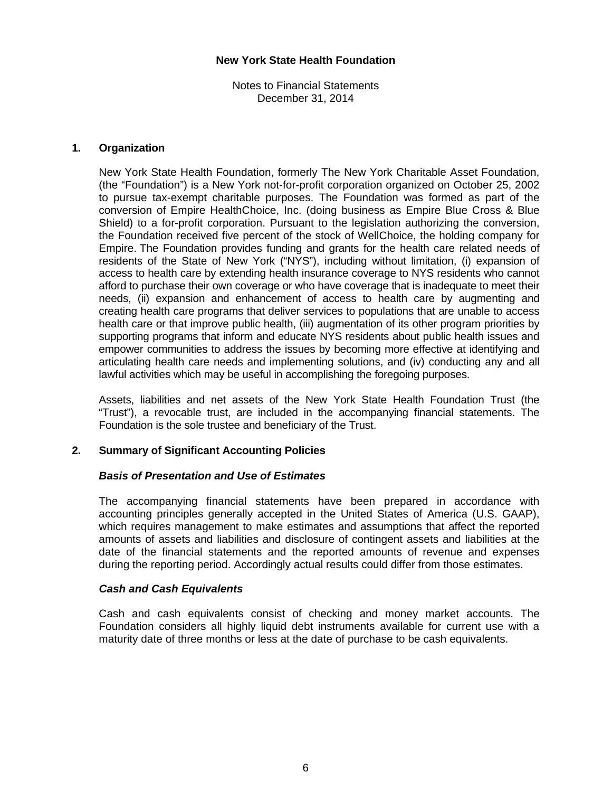Notes to Financial Statements December 31, 2014

#### **1. Organization**

New York State Health Foundation, formerly The New York Charitable Asset Foundation, (the "Foundation") is a New York not-for-profit corporation organized on October 25, 2002 to pursue tax-exempt charitable purposes. The Foundation was formed as part of the conversion of Empire HealthChoice, Inc. (doing business as Empire Blue Cross & Blue Shield) to a for-profit corporation. Pursuant to the legislation authorizing the conversion, the Foundation received five percent of the stock of WellChoice, the holding company for Empire. The Foundation provides funding and grants for the health care related needs of residents of the State of New York ("NYS"), including without limitation, (i) expansion of access to health care by extending health insurance coverage to NYS residents who cannot afford to purchase their own coverage or who have coverage that is inadequate to meet their needs, (ii) expansion and enhancement of access to health care by augmenting and creating health care programs that deliver services to populations that are unable to access health care or that improve public health, (iii) augmentation of its other program priorities by supporting programs that inform and educate NYS residents about public health issues and empower communities to address the issues by becoming more effective at identifying and articulating health care needs and implementing solutions, and (iv) conducting any and all lawful activities which may be useful in accomplishing the foregoing purposes.

Assets, liabilities and net assets of the New York State Health Foundation Trust (the "Trust"), a revocable trust, are included in the accompanying financial statements. The Foundation is the sole trustee and beneficiary of the Trust.

# **2. Summary of Significant Accounting Policies**

#### *Basis of Presentation and Use of Estimates*

The accompanying financial statements have been prepared in accordance with accounting principles generally accepted in the United States of America (U.S. GAAP), which requires management to make estimates and assumptions that affect the reported amounts of assets and liabilities and disclosure of contingent assets and liabilities at the date of the financial statements and the reported amounts of revenue and expenses during the reporting period. Accordingly actual results could differ from those estimates.

# *Cash and Cash Equivalents*

Cash and cash equivalents consist of checking and money market accounts. The Foundation considers all highly liquid debt instruments available for current use with a maturity date of three months or less at the date of purchase to be cash equivalents.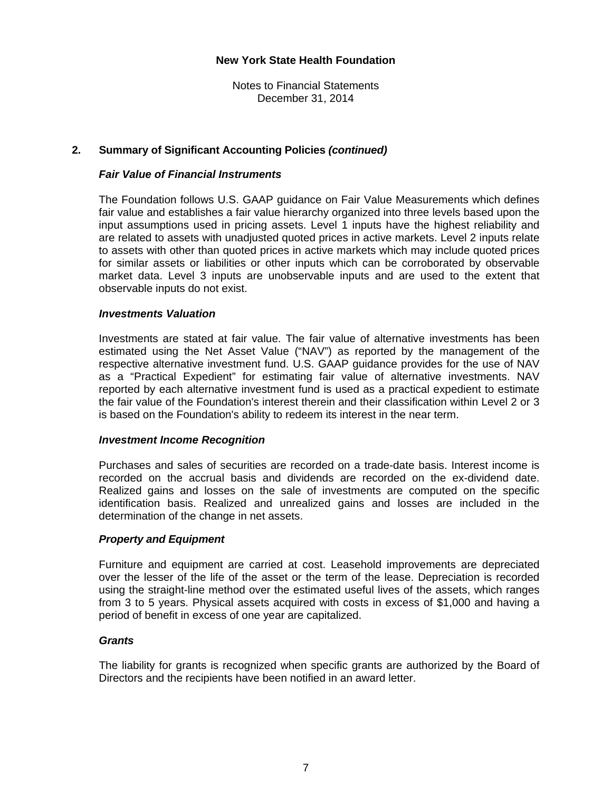Notes to Financial Statements December 31, 2014

## **2. Summary of Significant Accounting Policies** *(continued)*

#### *Fair Value of Financial Instruments*

The Foundation follows U.S. GAAP guidance on Fair Value Measurements which defines fair value and establishes a fair value hierarchy organized into three levels based upon the input assumptions used in pricing assets. Level 1 inputs have the highest reliability and are related to assets with unadjusted quoted prices in active markets. Level 2 inputs relate to assets with other than quoted prices in active markets which may include quoted prices for similar assets or liabilities or other inputs which can be corroborated by observable market data. Level 3 inputs are unobservable inputs and are used to the extent that observable inputs do not exist.

# *Investments Valuation*

Investments are stated at fair value. The fair value of alternative investments has been estimated using the Net Asset Value ("NAV") as reported by the management of the respective alternative investment fund. U.S. GAAP guidance provides for the use of NAV as a "Practical Expedient" for estimating fair value of alternative investments. NAV reported by each alternative investment fund is used as a practical expedient to estimate the fair value of the Foundation's interest therein and their classification within Level 2 or 3 is based on the Foundation's ability to redeem its interest in the near term.

#### *Investment Income Recognition*

Purchases and sales of securities are recorded on a trade-date basis. Interest income is recorded on the accrual basis and dividends are recorded on the ex-dividend date. Realized gains and losses on the sale of investments are computed on the specific identification basis. Realized and unrealized gains and losses are included in the determination of the change in net assets.

#### *Property and Equipment*

Furniture and equipment are carried at cost. Leasehold improvements are depreciated over the lesser of the life of the asset or the term of the lease. Depreciation is recorded using the straight-line method over the estimated useful lives of the assets, which ranges from 3 to 5 years. Physical assets acquired with costs in excess of \$1,000 and having a period of benefit in excess of one year are capitalized.

#### *Grants*

 The liability for grants is recognized when specific grants are authorized by the Board of Directors and the recipients have been notified in an award letter.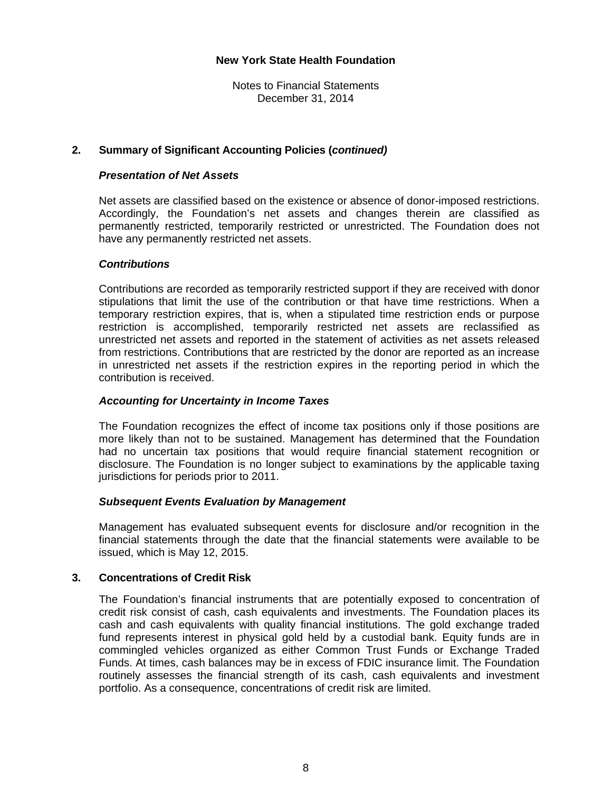Notes to Financial Statements December 31, 2014

## **2. Summary of Significant Accounting Policies (***continued)*

#### *Presentation of Net Assets*

Net assets are classified based on the existence or absence of donor-imposed restrictions. Accordingly, the Foundation's net assets and changes therein are classified as permanently restricted, temporarily restricted or unrestricted. The Foundation does not have any permanently restricted net assets.

#### *Contributions*

Contributions are recorded as temporarily restricted support if they are received with donor stipulations that limit the use of the contribution or that have time restrictions. When a temporary restriction expires, that is, when a stipulated time restriction ends or purpose restriction is accomplished, temporarily restricted net assets are reclassified as unrestricted net assets and reported in the statement of activities as net assets released from restrictions. Contributions that are restricted by the donor are reported as an increase in unrestricted net assets if the restriction expires in the reporting period in which the contribution is received.

# *Accounting for Uncertainty in Income Taxes*

The Foundation recognizes the effect of income tax positions only if those positions are more likely than not to be sustained. Management has determined that the Foundation had no uncertain tax positions that would require financial statement recognition or disclosure. The Foundation is no longer subject to examinations by the applicable taxing jurisdictions for periods prior to 2011.

#### *Subsequent Events Evaluation by Management*

Management has evaluated subsequent events for disclosure and/or recognition in the financial statements through the date that the financial statements were available to be issued, which is May 12, 2015.

# **3. Concentrations of Credit Risk**

The Foundation's financial instruments that are potentially exposed to concentration of credit risk consist of cash, cash equivalents and investments. The Foundation places its cash and cash equivalents with quality financial institutions. The gold exchange traded fund represents interest in physical gold held by a custodial bank. Equity funds are in commingled vehicles organized as either Common Trust Funds or Exchange Traded Funds. At times, cash balances may be in excess of FDIC insurance limit. The Foundation routinely assesses the financial strength of its cash, cash equivalents and investment portfolio. As a consequence, concentrations of credit risk are limited.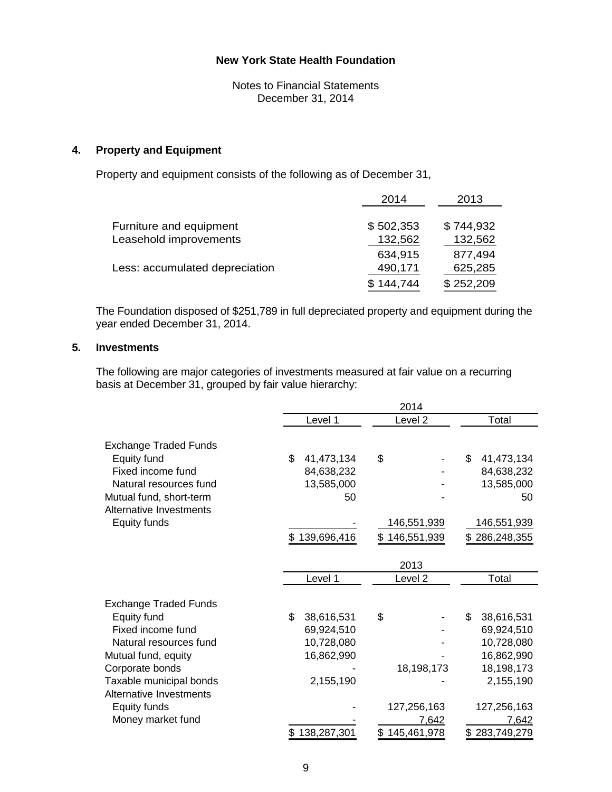Notes to Financial Statements December 31, 2014

# **4. Property and Equipment**

Property and equipment consists of the following as of December 31,

|                                | 2014      | 2013      |
|--------------------------------|-----------|-----------|
| Furniture and equipment        | \$502,353 | \$744,932 |
| Leasehold improvements         | 132,562   | 132,562   |
|                                | 634,915   | 877,494   |
| Less: accumulated depreciation | 490,171   | 625,285   |
|                                | \$144,744 | \$252,209 |

 The Foundation disposed of \$251,789 in full depreciated property and equipment during the year ended December 31, 2014.

## **5. Investments**

The following are major categories of investments measured at fair value on a recurring basis at December 31, grouped by fair value hierarchy:

|                                                                                                   | 2014                                         |                    |                                              |  |  |
|---------------------------------------------------------------------------------------------------|----------------------------------------------|--------------------|----------------------------------------------|--|--|
|                                                                                                   | Level 1                                      | Level <sub>2</sub> | Total                                        |  |  |
| <b>Exchange Traded Funds</b><br><b>Equity fund</b><br>Fixed income fund<br>Natural resources fund | \$<br>41,473,134<br>84,638,232<br>13,585,000 | \$                 | \$<br>41,473,134<br>84,638,232<br>13,585,000 |  |  |
| Mutual fund, short-term<br>Alternative Investments                                                | 50                                           |                    | 50                                           |  |  |
| Equity funds                                                                                      |                                              | 146,551,939        | 146,551,939                                  |  |  |
|                                                                                                   | \$139,696,416                                | 146,551,939<br>S   | \$286,248,355                                |  |  |
|                                                                                                   |                                              | 2013               |                                              |  |  |
|                                                                                                   | Level 1                                      | Level <sub>2</sub> | Total                                        |  |  |
| <b>Exchange Traded Funds</b>                                                                      |                                              |                    |                                              |  |  |
| <b>Equity fund</b>                                                                                | \$<br>38,616,531                             | \$                 | \$<br>38,616,531                             |  |  |
| Fixed income fund                                                                                 | 69,924,510                                   |                    | 69,924,510                                   |  |  |
| Natural resources fund                                                                            | 10,728,080                                   |                    | 10,728,080                                   |  |  |
| Mutual fund, equity                                                                               | 16,862,990                                   |                    | 16,862,990                                   |  |  |
| Corporate bonds                                                                                   |                                              | 18,198,173         | 18,198,173                                   |  |  |
| Taxable municipal bonds<br>Alternative Investments                                                | 2,155,190                                    |                    | 2,155,190                                    |  |  |
| Equity funds                                                                                      |                                              | 127,256,163        | 127,256,163                                  |  |  |
| Money market fund                                                                                 |                                              | 7,642              | 7,642                                        |  |  |
|                                                                                                   | 138,287,301<br>\$                            | 145,461,978        | 283,749,279                                  |  |  |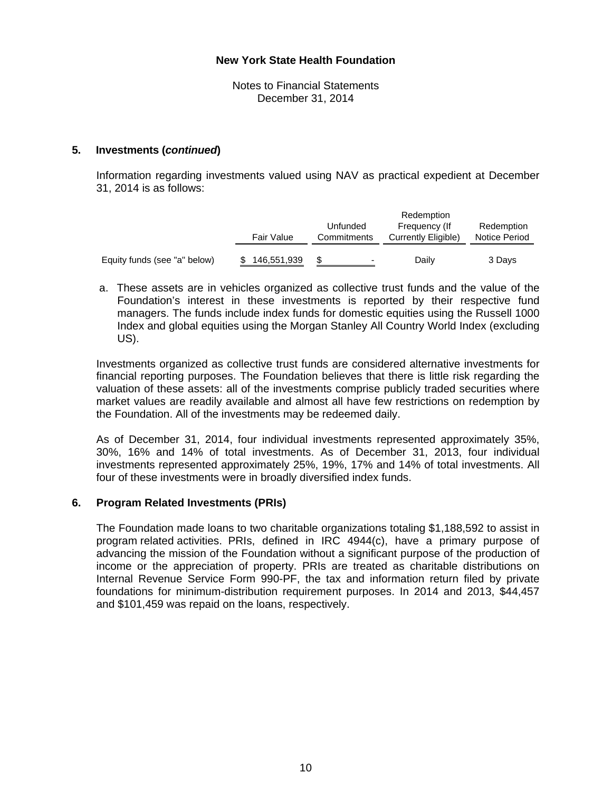Notes to Financial Statements December 31, 2014

#### **5. Investments (***continued***)**

 Information regarding investments valued using NAV as practical expedient at December 31, 2014 is as follows:

|                              |             | Redemption              |                                      |                             |
|------------------------------|-------------|-------------------------|--------------------------------------|-----------------------------|
|                              | Fair Value  | Unfunded<br>Commitments | Frequency (If<br>Currently Eligible) | Redemption<br>Notice Period |
|                              |             |                         |                                      |                             |
| Equity funds (see "a" below) | 146,551,939 | -                       | Daily                                | 3 Days                      |

a. These assets are in vehicles organized as collective trust funds and the value of the Foundation's interest in these investments is reported by their respective fund managers. The funds include index funds for domestic equities using the Russell 1000 Index and global equities using the Morgan Stanley All Country World Index (excluding US).

Investments organized as collective trust funds are considered alternative investments for financial reporting purposes. The Foundation believes that there is little risk regarding the valuation of these assets: all of the investments comprise publicly traded securities where market values are readily available and almost all have few restrictions on redemption by the Foundation. All of the investments may be redeemed daily.

As of December 31, 2014, four individual investments represented approximately 35%, 30%, 16% and 14% of total investments. As of December 31, 2013, four individual investments represented approximately 25%, 19%, 17% and 14% of total investments. All four of these investments were in broadly diversified index funds.

#### **6. Program Related Investments (PRIs)**

The Foundation made loans to two charitable organizations totaling \$1,188,592 to assist in program related activities. PRIs, defined in IRC 4944(c), have a primary purpose of advancing the mission of the Foundation without a significant purpose of the production of income or the appreciation of property. PRIs are treated as charitable distributions on Internal Revenue Service Form 990-PF, the tax and information return filed by private foundations for minimum-distribution requirement purposes. In 2014 and 2013, \$44,457 and \$101,459 was repaid on the loans, respectively.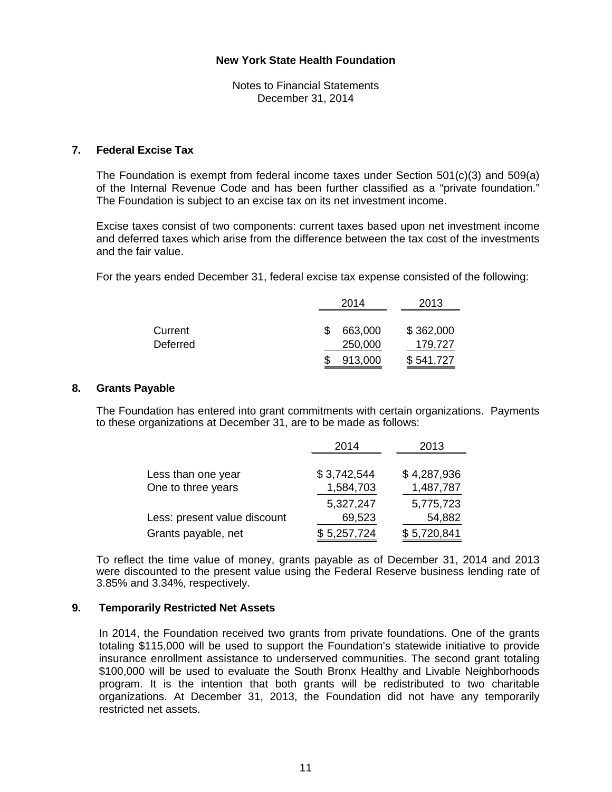Notes to Financial Statements December 31, 2014

#### **7. Federal Excise Tax**

 The Foundation is exempt from federal income taxes under Section 501(c)(3) and 509(a) of the Internal Revenue Code and has been further classified as a "private foundation." The Foundation is subject to an excise tax on its net investment income.

 Excise taxes consist of two components: current taxes based upon net investment income and deferred taxes which arise from the difference between the tax cost of the investments and the fair value.

For the years ended December 31, federal excise tax expense consisted of the following:

|                     | 2014               | 2013                 |  |  |
|---------------------|--------------------|----------------------|--|--|
| Current<br>Deferred | 663,000<br>250,000 | \$362,000<br>179,727 |  |  |
|                     | 913,000            | \$541,727            |  |  |

#### **8. Grants Payable**

 The Foundation has entered into grant commitments with certain organizations. Payments to these organizations at December 31, are to be made as follows:

|                              | 2014        | 2013        |
|------------------------------|-------------|-------------|
|                              |             |             |
| Less than one year           | \$3,742,544 | \$4,287,936 |
| One to three years           | 1,584,703   | 1,487,787   |
|                              | 5,327,247   | 5,775,723   |
| Less: present value discount | 69,523      | 54,882      |
| Grants payable, net          | \$5,257,724 | \$5,720,841 |

 To reflect the time value of money, grants payable as of December 31, 2014 and 2013 were discounted to the present value using the Federal Reserve business lending rate of 3.85% and 3.34%, respectively.

#### **9. Temporarily Restricted Net Assets**

In 2014, the Foundation received two grants from private foundations. One of the grants totaling \$115,000 will be used to support the Foundation's statewide initiative to provide insurance enrollment assistance to underserved communities. The second grant totaling \$100,000 will be used to evaluate the South Bronx Healthy and Livable Neighborhoods program. It is the intention that both grants will be redistributed to two charitable organizations. At December 31, 2013, the Foundation did not have any temporarily restricted net assets.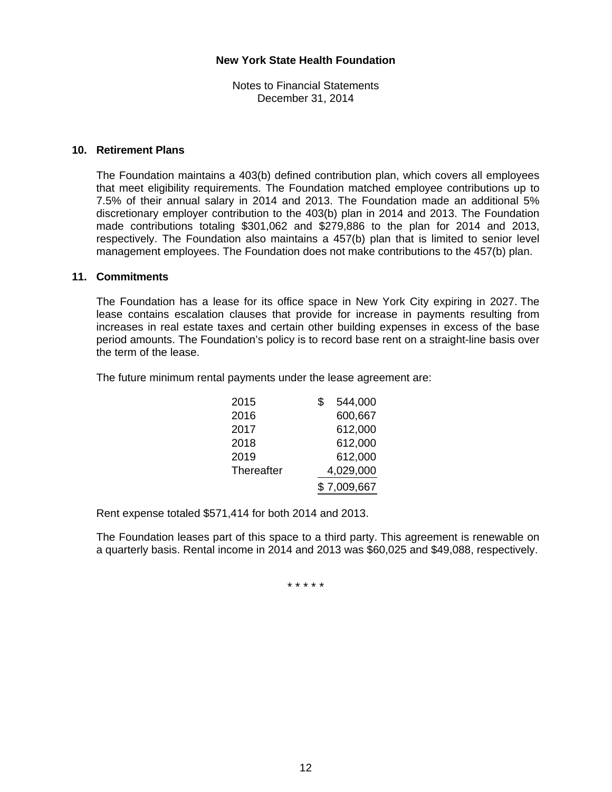Notes to Financial Statements December 31, 2014

#### **10. Retirement Plans**

 The Foundation maintains a 403(b) defined contribution plan, which covers all employees that meet eligibility requirements. The Foundation matched employee contributions up to 7.5% of their annual salary in 2014 and 2013. The Foundation made an additional 5% discretionary employer contribution to the 403(b) plan in 2014 and 2013. The Foundation made contributions totaling \$301,062 and \$279,886 to the plan for 2014 and 2013, respectively. The Foundation also maintains a 457(b) plan that is limited to senior level management employees. The Foundation does not make contributions to the 457(b) plan.

#### **11. Commitments**

The Foundation has a lease for its office space in New York City expiring in 2027. The lease contains escalation clauses that provide for increase in payments resulting from increases in real estate taxes and certain other building expenses in excess of the base period amounts. The Foundation's policy is to record base rent on a straight-line basis over the term of the lease.

The future minimum rental payments under the lease agreement are:

| 2015       | 544,000<br>S |
|------------|--------------|
| 2016       | 600,667      |
| 2017       | 612,000      |
| 2018       | 612,000      |
| 2019       | 612,000      |
| Thereafter | 4,029,000    |
|            | \$7,009,667  |

Rent expense totaled \$571,414 for both 2014 and 2013.

The Foundation leases part of this space to a third party. This agreement is renewable on a quarterly basis. Rental income in 2014 and 2013 was \$60,025 and \$49,088, respectively.

\* \* \* \* \*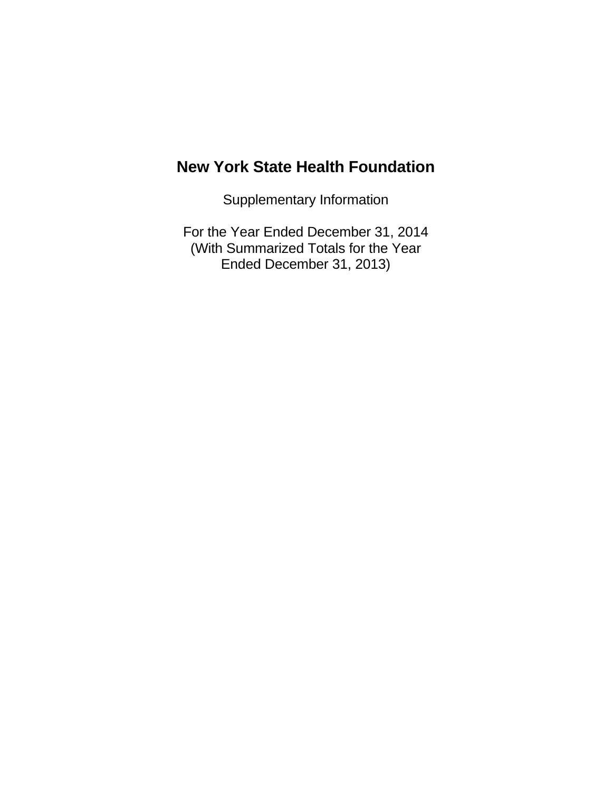Supplementary Information

For the Year Ended December 31, 2014 (With Summarized Totals for the Year Ended December 31, 2013)